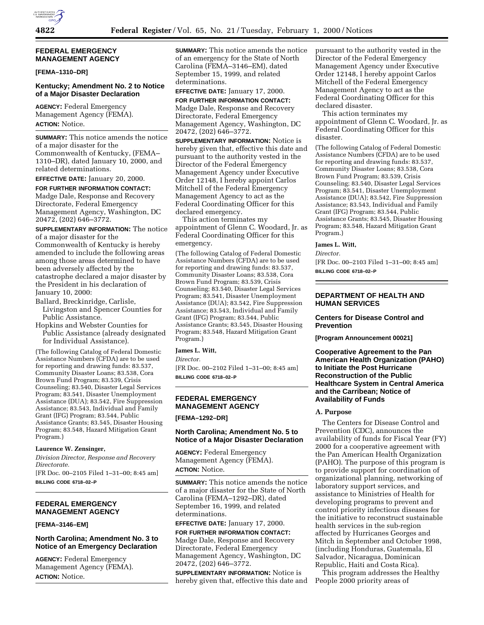## **FEDERAL EMERGENCY MANAGEMENT AGENCY**

#### **[FEMA–1310–DR]**

# **Kentucky; Amendment No. 2 to Notice of a Major Disaster Declaration**

**AGENCY:** Federal Emergency Management Agency (FEMA). **ACTION:** Notice.

**SUMMARY:** This notice amends the notice of a major disaster for the Commonwealth of Kentucky, (FEMA– 1310–DR), dated January 10, 2000, and related determinations.

**EFFECTIVE DATE:** January 20, 2000.

**FOR FURTHER INFORMATION CONTACT:** Madge Dale, Response and Recovery Directorate, Federal Emergency Management Agency, Washington, DC 20472, (202) 646–3772.

**SUPPLEMENTARY INFORMATION:** The notice of a major disaster for the Commonwealth of Kentucky is hereby amended to include the following areas among those areas determined to have been adversely affected by the catastrophe declared a major disaster by the President in his declaration of January 10, 2000:

Ballard, Breckinridge, Carlisle, Livingston and Spencer Counties for Public Assistance.

Hopkins and Webster Counties for Public Assistance (already designated for Individual Assistance).

(The following Catalog of Federal Domestic Assistance Numbers (CFDA) are to be used for reporting and drawing funds: 83.537, Community Disaster Loans; 83.538, Cora Brown Fund Program; 83.539, Crisis Counseling; 83.540, Disaster Legal Services Program; 83.541, Disaster Unemployment Assistance (DUA); 83.542, Fire Suppression Assistance; 83.543, Individual and Family Grant (IFG) Program; 83.544, Public Assistance Grants; 83.545, Disaster Housing Program; 83.548, Hazard Mitigation Grant Program.)

#### **Laurence W. Zensinger,**

*Division Director, Response and Recovery Directorate.*

[FR Doc. 00–2105 Filed 1–31–00; 8:45 am] **BILLING CODE 6718–02–P**

## **FEDERAL EMERGENCY MANAGEMENT AGENCY**

### **[FEMA–3146–EM]**

## **North Carolina; Amendment No. 3 to Notice of an Emergency Declaration**

**AGENCY:** Federal Emergency Management Agency (FEMA). **ACTION:** Notice.

**SUMMARY:** This notice amends the notice of an emergency for the State of North Carolina (FEMA–3146–EM), dated September 15, 1999, and related determinations.

**EFFECTIVE DATE:** January 17, 2000.

**FOR FURTHER INFORMATION CONTACT:** Madge Dale, Response and Recovery Directorate, Federal Emergency Management Agency, Washington, DC 20472, (202) 646–3772.

**SUPPLEMENTARY INFORMATION:** Notice is hereby given that, effective this date and pursuant to the authority vested in the Director of the Federal Emergency Management Agency under Executive Order 12148, I hereby appoint Carlos Mitchell of the Federal Emergency Management Agency to act as the Federal Coordinating Officer for this declared emergency.

This action terminates my appointment of Glenn C. Woodard, Jr. as Federal Coordinating Officer for this emergency.

(The following Catalog of Federal Domestic Assistance Numbers (CFDA) are to be used for reporting and drawing funds: 83.537, Community Disaster Loans; 83.538, Cora Brown Fund Program; 83.539, Crisis Counseling; 83.540, Disaster Legal Services Program; 83.541, Disaster Unemployment Assistance (DUA); 83.542, Fire Suppression Assistance; 83.543, Individual and Family Grant (IFG) Program; 83.544, Public Assistance Grants; 83.545, Disaster Housing Program; 83.548, Hazard Mitigation Grant Program.)

### **James L. Witt,**

*Director.*

[FR Doc. 00–2102 Filed 1–31–00; 8:45 am] **BILLING CODE 6718–02–P**

# **FEDERAL EMERGENCY MANAGEMENT AGENCY**

**[FEMA–1292–DR]**

## **North Carolina; Amendment No. 5 to Notice of a Major Disaster Declaration**

**AGENCY:** Federal Emergency Management Agency (FEMA). **ACTION:** Notice.

**SUMMARY:** This notice amends the notice of a major disaster for the State of North Carolina (FEMA–1292–DR), dated September 16, 1999, and related determinations.

**EFFECTIVE DATE:** January 17, 2000.

**FOR FURTHER INFORMATION CONTACT:** Madge Dale, Response and Recovery Directorate, Federal Emergency Management Agency, Washington, DC 20472, (202) 646–3772.

**SUPPLEMENTARY INFORMATION:** Notice is hereby given that, effective this date and pursuant to the authority vested in the Director of the Federal Emergency Management Agency under Executive Order 12148, I hereby appoint Carlos Mitchell of the Federal Emergency Management Agency to act as the Federal Coordinating Officer for this declared disaster.

This action terminates my appointment of Glenn C. Woodard, Jr. as Federal Coordinating Officer for this disaster.

(The following Catalog of Federal Domestic Assistance Numbers (CFDA) are to be used for reporting and drawing funds: 83.537, Community Disaster Loans; 83.538, Cora Brown Fund Program; 83.539, Crisis Counseling; 83.540, Disaster Legal Services Program; 83.541, Disaster Unemployment Assistance (DUA); 83.542, Fire Suppression Assistance; 83.543, Individual and Family Grant (IFG) Program; 83.544, Public Assistance Grants; 83.545, Disaster Housing Program; 83.548, Hazard Mitigation Grant Program.)

### **James L. Witt,**

*Director.*

[FR Doc. 00–2103 Filed 1–31–00; 8:45 am] **BILLING CODE 6718–02–P**

## **DEPARTMENT OF HEALTH AND HUMAN SERVICES**

## **Centers for Disease Control and Prevention**

**[Program Announcement 00021]**

## **Cooperative Agreement to the Pan American Health Organization (PAHO) to Initiate the Post Hurricane Reconstruction of the Public Healthcare System in Central America and the Carribean; Notice of Availability of Funds**

### **A. Purpose**

The Centers for Disease Control and Prevention (CDC), announces the availability of funds for Fiscal Year (FY) 2000 for a cooperative agreement with the Pan American Health Organization (PAHO). The purpose of this program is to provide support for coordination of organizational planning, networking of laboratory support services, and assistance to Ministries of Health for developing programs to prevent and control priority infectious diseases for the initiative to reconstruct sustainable health services in the sub-region affected by Hurricanes Georges and Mitch in September and October 1998, (including Honduras, Guatemala, El Salvador, Nicaragua, Dominican Republic, Haiti and Costa Rica).

This program addresses the Healthy People 2000 priority areas of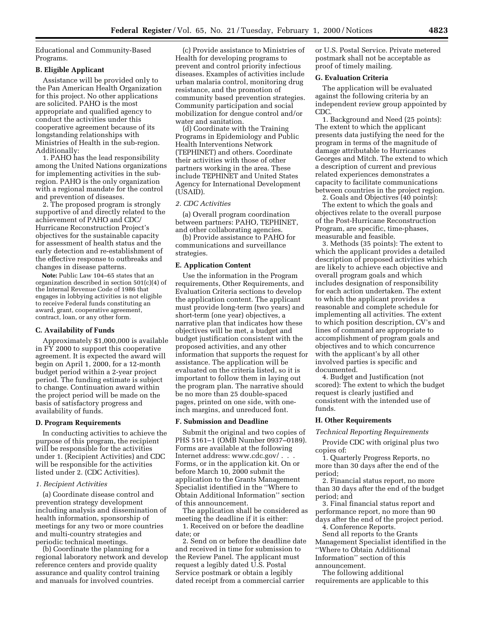Educational and Community-Based Programs.

## **B. Eligible Applicant**

Assistance will be provided only to the Pan American Health Organization for this project. No other applications are solicited. PAHO is the most appropriate and qualified agency to conduct the activities under this cooperative agreement because of its longstanding relationships with Ministries of Health in the sub-region. Additionally:

1. PAHO has the lead responsibility among the United Nations organizations for implementing activities in the subregion. PAHO is the only organization with a regional mandate for the control and prevention of diseases.

2. The proposed program is strongly supportive of and directly related to the achievement of PAHO and CDC/ Hurricane Reconstruction Project's objectives for the sustainable capacity for assessment of health status and the early detection and re-establishment of the effective response to outbreaks and changes in disease patterns.

**Note:** Public Law 104–65 states that an organization described in section 501(c)(4) of the Internal Revenue Code of 1986 that engages in lobbying activities is not eligible to receive Federal funds constituting an award, grant, cooperative agreement, contract, loan, or any other form.

### **C. Availability of Funds**

Approximately \$1,000,000 is available in FY 2000 to support this cooperative agreement. It is expected the award will begin on April 1, 2000, for a 12-month budget period within a 2-year project period. The funding estimate is subject to change. Continuation award within the project period will be made on the basis of satisfactory progress and availability of funds.

### **D. Program Requirements**

In conducting activities to achieve the purpose of this program, the recipient will be responsible for the activities under 1. (Recipient Activities) and CDC will be responsible for the activities listed under 2. (CDC Activities).

### *1. Recipient Activities*

(a) Coordinate disease control and prevention strategy development including analysis and dissemination of health information, sponsorship of meetings for any two or more countries and multi-country strategies and periodic technical meetings.

(b) Coordinate the planning for a regional laboratory network and develop reference centers and provide quality assurance and quality control training and manuals for involved countries.

(c) Provide assistance to Ministries of Health for developing programs to prevent and control priority infectious diseases. Examples of activities include urban malaria control, monitoring drug resistance, and the promotion of community based prevention strategies. Community participation and social mobilization for dengue control and/or water and sanitation.

(d) Coordinate with the Training Programs in Epidemiology and Public Health Interventions Network (TEPHINET) and others. Coordinate their activities with those of other partners working in the area. These include TEPHINET and United States Agency for International Development (USAID).

#### *2. CDC Activities*

(a) Overall program coordination between partners: PAHO, TEPHINET, and other collaborating agencies.

(b) Provide assistance to PAHO for communications and surveillance strategies.

# **E. Application Content**

Use the information in the Program requirements, Other Requirements, and Evaluation Criteria sections to develop the application content. The applicant must provide long-term (two years) and short-term (one year) objectives, a narrative plan that indicates how these objectives will be met, a budget and budget justification consistent with the proposed activities, and any other information that supports the request for assistance. The application will be evaluated on the criteria listed, so it is important to follow them in laying out the program plan. The narrative should be no more than 25 double-spaced pages, printed on one side, with oneinch margins, and unreduced font.

#### **F. Submission and Deadline**

Submit the original and two copies of PHS 5161–1 (OMB Number 0937–0189). Forms are available at the following Internet address: www.cdc.gov/ . . . Forms, or in the application kit. On or before March 10, 2000 submit the application to the Grants Management Specialist identified in the ''Where to Obtain Additional Information'' section of this announcement.

The application shall be considered as meeting the deadline if it is either:

1. Received on or before the deadline date; or

2. Send on or before the deadline date and received in time for submission to the Review Panel. The applicant must request a legibly dated U.S. Postal Service postmark or obtain a legibly dated receipt from a commercial carrier

or U.S. Postal Service. Private metered postmark shall not be acceptable as proof of timely mailing.

### **G. Evaluation Criteria**

The application will be evaluated against the following criteria by an independent review group appointed by CDC.

1. Background and Need (25 points): The extent to which the applicant presents data justifying the need for the program in terms of the magnitude of damage attributable to Hurricanes Georges and Mitch. The extend to which a description of current and previous related experiences demonstrates a capacity to facilitate communications between countries in the project region.

2. Goals and Objectives (40 points): The extent to which the goals and objectives relate to the overall purpose of the Post-Hurricane Reconstruction Program, are specific, time-phases, measurable and feasible.

3. Methods (35 points): The extent to which the applicant provides a detailed description of proposed activities which are likely to achieve each objective and overall program goals and which includes designation of responsibility for each action undertaken. The extent to which the applicant provides a reasonable and complete schedule for implementing all activities. The extent to which position description, CV's and lines of command are appropriate to accomplishment of program goals and objectives and to which concurrence with the applicant's by all other involved parties is specific and documented.

4. Budget and Justification (not scored): The extent to which the budget request is clearly justified and consistent with the intended use of funds.

### **H. Other Requirements**

### *Technical Reporting Requirements*

Provide CDC with original plus two copies of:

1. Quarterly Progress Reports, no more than 30 days after the end of the period;

2. Financial status report, no more than 30 days after the end of the budget period; and

3. Final financial status report and performance report, no more than 90 days after the end of the project period.

4. Conference Reports.

Send all reports to the Grants Management Specialist identified in the ''Where to Obtain Additional Information'' section of this announcement.

The following additional requirements are applicable to this